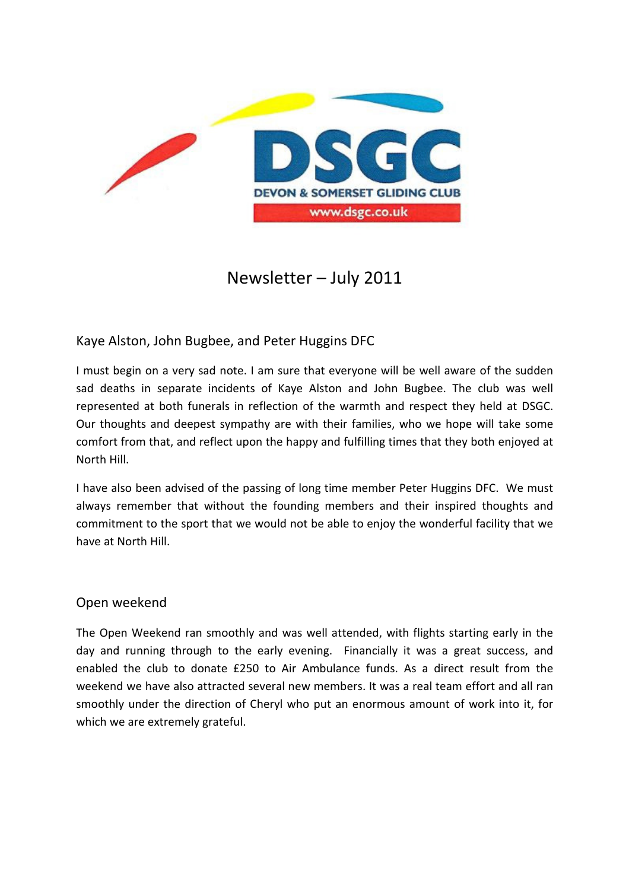

# Newsletter – July 2011

## Kaye Alston, John Bugbee, and Peter Huggins DFC

I must begin on a very sad note. I am sure that everyone will be well aware of the sudden sad deaths in separate incidents of Kaye Alston and John Bugbee. The club was well represented at both funerals in reflection of the warmth and respect they held at DSGC. Our thoughts and deepest sympathy are with their families, who we hope will take some comfort from that, and reflect upon the happy and fulfilling times that they both enjoyed at North Hill.

I have also been advised of the passing of long time member Peter Huggins DFC. We must always remember that without the founding members and their inspired thoughts and commitment to the sport that we would not be able to enjoy the wonderful facility that we have at North Hill.

### Open weekend

The Open Weekend ran smoothly and was well attended, with flights starting early in the day and running through to the early evening. Financially it was a great success, and enabled the club to donate £250 to Air Ambulance funds. As a direct result from the weekend we have also attracted several new members. It was a real team effort and all ran smoothly under the direction of Cheryl who put an enormous amount of work into it, for which we are extremely grateful.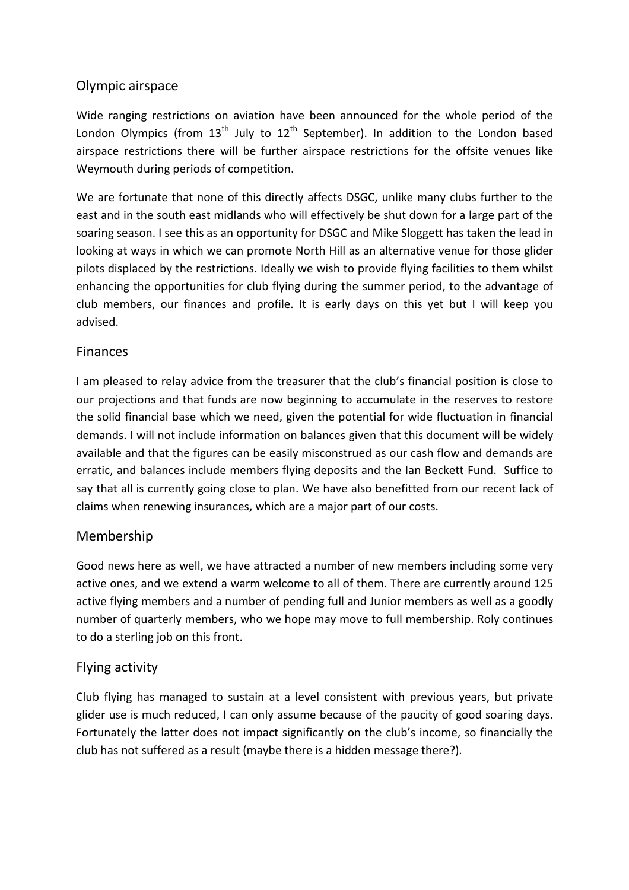# Olympic airspace

Wide ranging restrictions on aviation have been announced for the whole period of the London Olympics (from  $13<sup>th</sup>$  July to  $12<sup>th</sup>$  September). In addition to the London based airspace restrictions there will be further airspace restrictions for the offsite venues like Weymouth during periods of competition.

We are fortunate that none of this directly affects DSGC, unlike many clubs further to the east and in the south east midlands who will effectively be shut down for a large part of the soaring season. I see this as an opportunity for DSGC and Mike Sloggett has taken the lead in looking at ways in which we can promote North Hill as an alternative venue for those glider pilots displaced by the restrictions. Ideally we wish to provide flying facilities to them whilst enhancing the opportunities for club flying during the summer period, to the advantage of club members, our finances and profile. It is early days on this yet but I will keep you advised.

## Finances

I am pleased to relay advice from the treasurer that the club's financial position is close to our projections and that funds are now beginning to accumulate in the reserves to restore the solid financial base which we need, given the potential for wide fluctuation in financial demands. I will not include information on balances given that this document will be widely available and that the figures can be easily misconstrued as our cash flow and demands are erratic, and balances include members flying deposits and the Ian Beckett Fund. Suffice to say that all is currently going close to plan. We have also benefitted from our recent lack of claims when renewing insurances, which are a major part of our costs.

# Membership

Good news here as well, we have attracted a number of new members including some very active ones, and we extend a warm welcome to all of them. There are currently around 125 active flying members and a number of pending full and Junior members as well as a goodly number of quarterly members, who we hope may move to full membership. Roly continues to do a sterling job on this front.

### Flying activity

Club flying has managed to sustain at a level consistent with previous years, but private glider use is much reduced, I can only assume because of the paucity of good soaring days. Fortunately the latter does not impact significantly on the club's income, so financially the club has not suffered as a result (maybe there is a hidden message there?).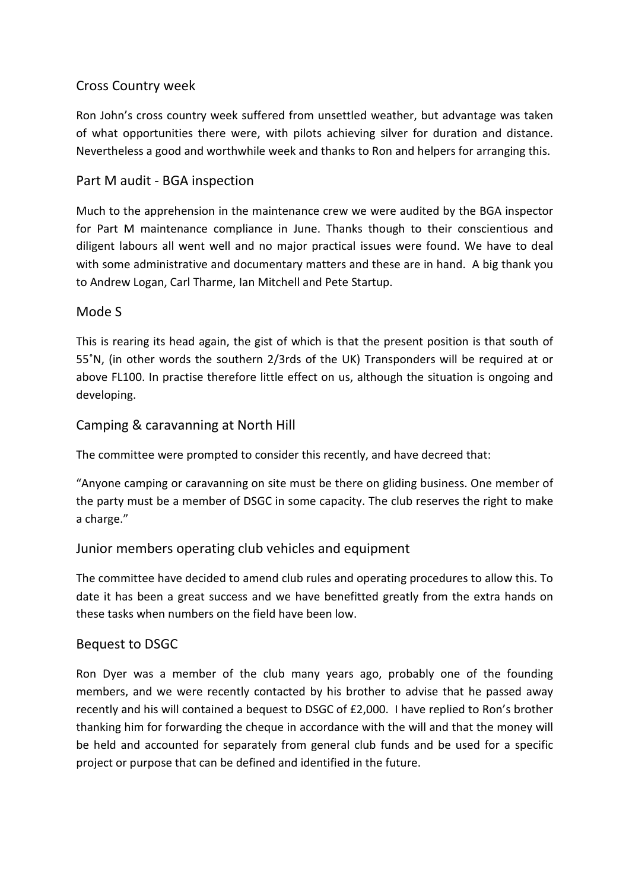## Cross Country week

Ron John's cross country week suffered from unsettled weather, but advantage was taken of what opportunities there were, with pilots achieving silver for duration and distance. Nevertheless a good and worthwhile week and thanks to Ron and helpers for arranging this.

#### Part M audit - BGA inspection

Much to the apprehension in the maintenance crew we were audited by the BGA inspector for Part M maintenance compliance in June. Thanks though to their conscientious and diligent labours all went well and no major practical issues were found. We have to deal with some administrative and documentary matters and these are in hand. A big thank you to Andrew Logan, Carl Tharme, Ian Mitchell and Pete Startup.

#### Mode S

This is rearing its head again, the gist of which is that the present position is that south of 55˚N, (in other words the southern 2/3rds of the UK) Transponders will be required at or above FL100. In practise therefore little effect on us, although the situation is ongoing and developing.

### Camping & caravanning at North Hill

The committee were prompted to consider this recently, and have decreed that:

"Anyone camping or caravanning on site must be there on gliding business. One member of the party must be a member of DSGC in some capacity. The club reserves the right to make a charge."

### Junior members operating club vehicles and equipment

The committee have decided to amend club rules and operating procedures to allow this. To date it has been a great success and we have benefitted greatly from the extra hands on these tasks when numbers on the field have been low.

#### Bequest to DSGC

Ron Dyer was a member of the club many years ago, probably one of the founding members, and we were recently contacted by his brother to advise that he passed away recently and his will contained a bequest to DSGC of £2,000. I have replied to Ron's brother thanking him for forwarding the cheque in accordance with the will and that the money will be held and accounted for separately from general club funds and be used for a specific project or purpose that can be defined and identified in the future.